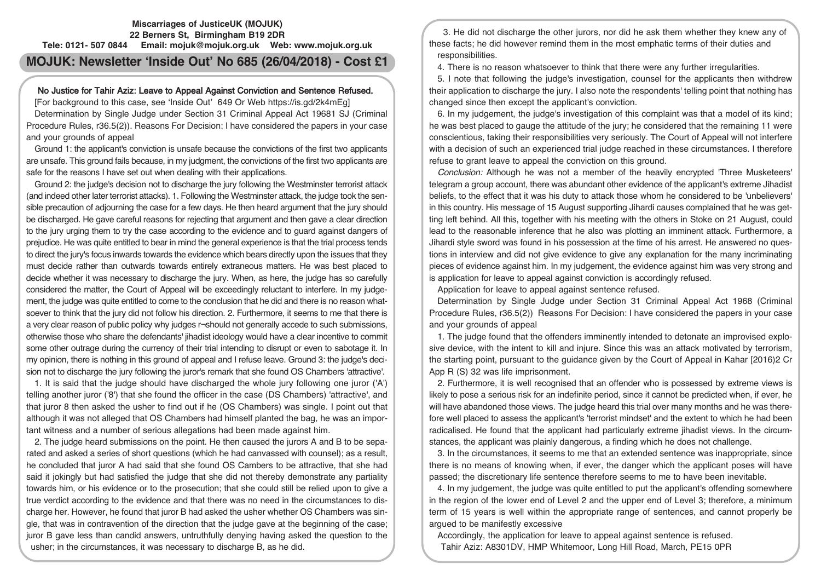## **Miscarriages of JusticeUK (MOJUK) 22 Berners St, Birmingham B19 2DR Tele: 0121- 507 0844 Email: mojuk@mojuk.org.uk Web: www.mojuk.org.uk**

# **MOJUK: Newsletter 'Inside Out' No 685 (26/04/2018) - Cost £1**

# No Justice for Tahir Aziz: Leave to Appeal Against Conviction and Sentence Refused.

[For background to this case, see 'Inside Out' 649 Or Web https://is.gd/2k4mEg] Determination by Single Judge under Section 31 Criminal Appeal Act 19681 SJ (Criminal Procedure Rules, r36.5(2)). Reasons For Decision: I have considered the papers in your case and your grounds of appeal

Ground 1: the applicant's conviction is unsafe because the convictions of the first two applicants are unsafe. This ground fails because, in my judgment, the convictions of the first two applicants are safe for the reasons I have set out when dealing with their applications.

Ground 2: the judge's decision not to discharge the jury following the Westminster terrorist attack (and indeed other later terrorist attacks). 1. Following the Westminster attack, the judge took the sensible precaution of adjourning the case for a few days. He then heard argument that the jury should be discharged. He gave careful reasons for rejecting that argument and then gave a clear direction to the jury urging them to try the case according to the evidence and to guard against dangers of prejudice. He was quite entitled to bear in mind the general experience is that the trial process tends to direct the jury's focus inwards towards the evidence which bears directly upon the issues that they must decide rather than outwards towards entirely extraneous matters. He was best placed to decide whether it was necessary to discharge the jury. When, as here, the judge has so carefully considered the matter, the Court of Appeal will be exceedingly reluctant to interfere. In my judgement, the judge was quite entitled to come to the conclusion that he did and there is no reason whatsoever to think that the jury did not follow his direction. 2. Furthermore, it seems to me that there is a very clear reason of public policy why judges r¬should not generally accede to such submissions, otherwise those who share the defendants' jihadist ideology would have a clear incentive to commit some other outrage during the currency of their trial intending to disrupt or even to sabotage it. In my opinion, there is nothing in this ground of appeal and I refuse leave. Ground 3: the judge's decision not to discharge the jury following the juror's remark that she found OS Chambers 'attractive'.

1. It is said that the judge should have discharged the whole jury following one juror ('A') telling another juror ('8') that she found the officer in the case (DS Chambers) 'attractive', and that juror 8 then asked the usher to find out if he (OS Chambers) was single. I point out that although it was not alleged that OS Chambers had himself planted the bag, he was an important witness and a number of serious allegations had been made against him.

2. The judge heard submissions on the point. He then caused the jurors A and B to be separated and asked a series of short questions (which he had canvassed with counsel); as a result, he concluded that juror A had said that she found OS Cambers to be attractive, that she had said it jokingly but had satisfied the judge that she did not thereby demonstrate any partiality towards him, or his evidence or to the prosecution; that she could still be relied upon to give a true verdict according to the evidence and that there was no need in the circumstances to discharge her. However, he found that juror B had asked the usher whether OS Chambers was single, that was in contravention of the direction that the judge gave at the beginning of the case; juror B gave less than candid answers, untruthfully denying having asked the question to the usher; in the circumstances, it was necessary to discharge B, as he did.

3. He did not discharge the other jurors, nor did he ask them whether they knew any of these facts; he did however remind them in the most emphatic terms of their duties and responsibilities.

4. There is no reason whatsoever to think that there were any further irregularities.

5. I note that following the judge's investigation, counsel for the applicants then withdrew their application to discharge the jury. I also note the respondents' telling point that nothing has changed since then except the applicant's conviction.

6. In my judgement, the judge's investigation of this complaint was that a model of its kind; he was best placed to gauge the attitude of the jury; he considered that the remaining 11 were conscientious, taking their responsibilities very seriously. The Court of Appeal will not interfere with a decision of such an experienced trial judge reached in these circumstances. I therefore refuse to grant leave to appeal the conviction on this ground.

Conclusion: Although he was not a member of the heavily encrypted 'Three Musketeers' telegram a group account, there was abundant other evidence of the applicant's extreme Jihadist beliefs, to the effect that it was his duty to attack those whom he considered to be 'unbelievers' in this country. His message of 15 August supporting Jihardi causes complained that he was getting left behind. All this, together with his meeting with the others in Stoke on 21 August, could lead to the reasonable inference that he also was plotting an imminent attack. Furthermore, a Jihardi style sword was found in his possession at the time of his arrest. He answered no questions in interview and did not give evidence to give any explanation for the many incriminating pieces of evidence against him. In my judgement, the evidence against him was very strong and is application for leave to appeal against conviction is accordingly refused.

Application for leave to appeal against sentence refused.

Determination by Single Judge under Section 31 Criminal Appeal Act 1968 (Criminal Procedure Rules, r36.5(2)) Reasons For Decision: I have considered the papers in your case and your grounds of appeal

1. The judge found that the offenders imminently intended to detonate an improvised explosive device, with the intent to kill and injure. Since this was an attack motivated by terrorism, the starting point, pursuant to the guidance given by the Court of Appeal in Kahar [2016)2 Cr App R (S) 32 was life imprisonment.

2. Furthermore, it is well recognised that an offender who is possessed by extreme views is likely to pose a serious risk for an indefinite period, since it cannot be predicted when, if ever, he will have abandoned those views. The judge heard this trial over many months and he was therefore well placed to assess the applicant's 'terrorist mindset' and the extent to which he had been radicalised. He found that the applicant had particularly extreme jihadist views. In the circumstances, the applicant was plainly dangerous, a finding which he does not challenge.

3. In the circumstances, it seems to me that an extended sentence was inappropriate, since there is no means of knowing when, if ever, the danger which the applicant poses will have passed; the discretionary life sentence therefore seems to me to have been inevitable.

4. In my judgement, the judge was quite entitled to put the applicant's offending somewhere in the region of the lower end of Level 2 and the upper end of Level 3; therefore, a minimum term of 15 years is well within the appropriate range of sentences, and cannot properly be argued to be manifestly excessive

Accordingly, the application for leave to appeal against sentence is refused. Tahir Aziz: A8301DV, HMP Whitemoor, Long Hill Road, March, PE15 0PR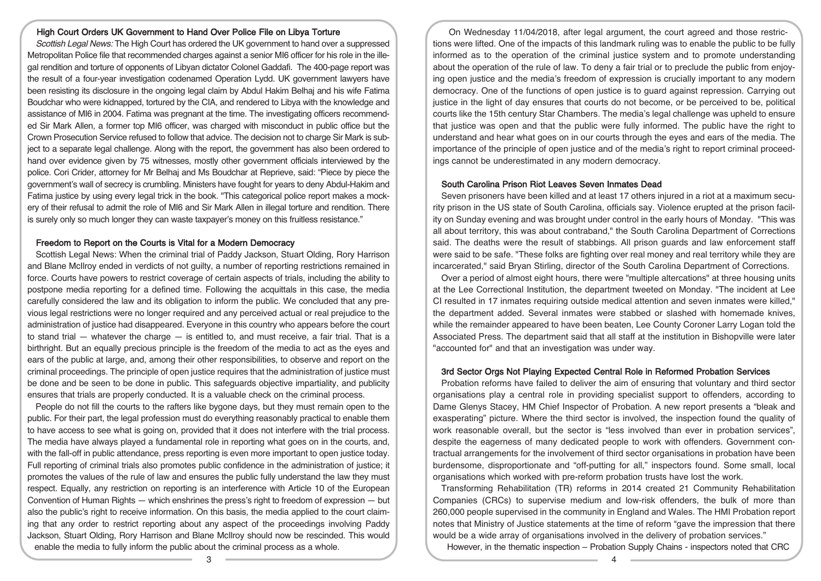## High Court Orders UK Government to Hand Over Police File on Libya Torture

Scottish Legal News: The High Court has ordered the UK government to hand over a suppressed Metropolitan Police file that recommended charges against a senior MI6 officer for his role in the illegal rendition and torture of opponents of Libyan dictator Colonel Gaddafi. The 400-page report was the result of a four-year investigation codenamed Operation Lydd. UK government lawyers have been resisting its disclosure in the ongoing legal claim by Abdul Hakim Belhaj and his wife Fatima Boudchar who were kidnapped, tortured by the CIA, and rendered to Libya with the knowledge and assistance of MI6 in 2004. Fatima was pregnant at the time. The investigating officers recommended Sir Mark Allen, a former top MI6 officer, was charged with misconduct in public office but the Crown Prosecution Service refused to follow that advice. The decision not to charge Sir Mark is subject to a separate legal challenge. Along with the report, the government has also been ordered to hand over evidence given by 75 witnesses, mostly other government officials interviewed by the police. Cori Crider, attorney for Mr Belhaj and Ms Boudchar at Reprieve, said: "Piece by piece the government's wall of secrecy is crumbling. Ministers have fought for years to deny Abdul-Hakim and Fatima justice by using every legal trick in the book. "This categorical police report makes a mockery of their refusal to admit the role of MI6 and Sir Mark Allen in illegal torture and rendition. There is surely only so much longer they can waste taxpayer's money on this fruitless resistance."

## Freedom to Report on the Courts is Vital for a Modern Democracy

Scottish Legal News: When the criminal trial of Paddy Jackson, Stuart Olding, Rory Harrison and Blane McIlroy ended in verdicts of not guilty, a number of reporting restrictions remained in force. Courts have powers to restrict coverage of certain aspects of trials, including the ability to postpone media reporting for a defined time. Following the acquittals in this case, the media carefully considered the law and its obligation to inform the public. We concluded that any previous legal restrictions were no longer required and any perceived actual or real prejudice to the administration of justice had disappeared. Everyone in this country who appears before the court to stand trial  $-$  whatever the charge  $-$  is entitled to, and must receive, a fair trial. That is a birthright. But an equally precious principle is the freedom of the media to act as the eyes and ears of the public at large, and, among their other responsibilities, to observe and report on the criminal proceedings. The principle of open justice requires that the administration of justice must be done and be seen to be done in public. This safeguards objective impartiality, and publicity ensures that trials are properly conducted. It is a valuable check on the criminal process.

People do not fill the courts to the rafters like bygone days, but they must remain open to the public. For their part, the legal profession must do everything reasonably practical to enable them to have access to see what is going on, provided that it does not interfere with the trial process. The media have always played a fundamental role in reporting what goes on in the courts, and, with the fall-off in public attendance, press reporting is even more important to open justice today. Full reporting of criminal trials also promotes public confidence in the administration of justice; it promotes the values of the rule of law and ensures the public fully understand the law they must respect. Equally, any restriction on reporting is an interference with Article 10 of the European Convention of Human Rights  $-$  which enshrines the press's right to freedom of expression  $-$  but also the public's right to receive information. On this basis, the media applied to the court claiming that any order to restrict reporting about any aspect of the proceedings involving Paddy Jackson, Stuart Olding, Rory Harrison and Blane McIlroy should now be rescinded. This would enable the media to fully inform the public about the criminal process as a whole.

On Wednesday 11/04/2018, after legal argument, the court agreed and those restrictions were lifted. One of the impacts of this landmark ruling was to enable the public to be fully informed as to the operation of the criminal justice system and to promote understanding about the operation of the rule of law. To deny a fair trial or to preclude the public from enjoying open justice and the media's freedom of expression is crucially important to any modern democracy. One of the functions of open justice is to guard against repression. Carrying out justice in the light of day ensures that courts do not become, or be perceived to be, political courts like the 15th century Star Chambers. The media's legal challenge was upheld to ensure that justice was open and that the public were fully informed. The public have the right to understand and hear what goes on in our courts through the eyes and ears of the media. The importance of the principle of open justice and of the media's right to report criminal proceedings cannot be underestimated in any modern democracy.

## South Carolina Prison Riot Leaves Seven Inmates Dead

Seven prisoners have been killed and at least 17 others injured in a riot at a maximum security prison in the US state of South Carolina, officials say. Violence erupted at the prison facility on Sunday evening and was brought under control in the early hours of Monday. "This was all about territory, this was about contraband," the South Carolina Department of Corrections said. The deaths were the result of stabbings. All prison guards and law enforcement staff were said to be safe. "These folks are fighting over real money and real territory while they are incarcerated," said Bryan Stirling, director of the South Carolina Department of Corrections.

Over a period of almost eight hours, there were "multiple altercations" at three housing units at the Lee Correctional Institution, the department tweeted on Monday. "The incident at Lee CI resulted in 17 inmates requiring outside medical attention and seven inmates were killed," the department added. Several inmates were stabbed or slashed with homemade knives, while the remainder appeared to have been beaten, Lee County Coroner Larry Logan told the Associated Press. The department said that all staff at the institution in Bishopville were later "accounted for" and that an investigation was under way.

# 3rd Sector Orgs Not Playing Expected Central Role in Reformed Probation Services

Probation reforms have failed to deliver the aim of ensuring that voluntary and third sector organisations play a central role in providing specialist support to offenders, according to Dame Glenys Stacey, HM Chief Inspector of Probation. A new report presents a "bleak and exasperating" picture. Where the third sector is involved, the inspection found the quality of work reasonable overall, but the sector is "less involved than ever in probation services", despite the eagerness of many dedicated people to work with offenders. Government contractual arrangements for the involvement of third sector organisations in probation have been burdensome, disproportionate and "off-putting for all," inspectors found. Some small, local organisations which worked with pre-reform probation trusts have lost the work.

Transforming Rehabilitation (TR) reforms in 2014 created 21 Community Rehabilitation Companies (CRCs) to supervise medium and low-risk offenders, the bulk of more than 260,000 people supervised in the community in England and Wales. The HMI Probation report notes that Ministry of Justice statements at the time of reform "gave the impression that there would be a wide array of organisations involved in the delivery of probation services."

However, in the thematic inspection – Probation Supply Chains - inspectors noted that CRC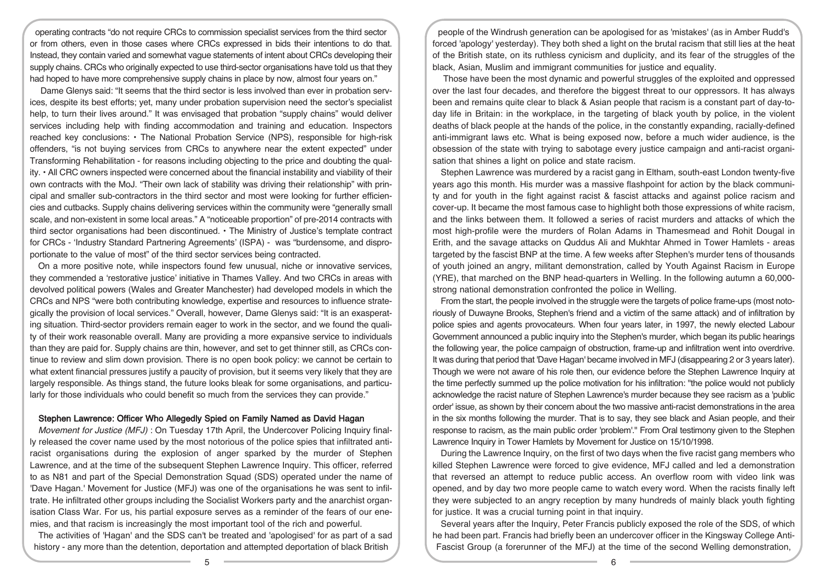operating contracts "do not require CRCs to commission specialist services from the third sector or from others, even in those cases where CRCs expressed in bids their intentions to do that. Instead, they contain varied and somewhat vague statements of intent about CRCs developing their supply chains. CRCs who originally expected to use third-sector organisations have told us that they had hoped to have more comprehensive supply chains in place by now, almost four years on."

Dame Glenys said: "It seems that the third sector is less involved than ever in probation services, despite its best efforts; yet, many under probation supervision need the sector's specialist help, to turn their lives around." It was envisaged that probation "supply chains" would deliver services including help with finding accommodation and training and education. Inspectors reached key conclusions: • The National Probation Service (NPS), responsible for high-risk offenders, "is not buying services from CRCs to anywhere near the extent expected" under Transforming Rehabilitation - for reasons including objecting to the price and doubting the quality. • All CRC owners inspected were concerned about the financial instability and viability of their own contracts with the MoJ. "Their own lack of stability was driving their relationship" with principal and smaller sub-contractors in the third sector and most were looking for further efficiencies and cutbacks. Supply chains delivering services within the community were "generally small scale, and non-existent in some local areas." A "noticeable proportion" of pre-2014 contracts with third sector organisations had been discontinued. • The Ministry of Justice's template contract for CRCs - 'Industry Standard Partnering Agreements' (ISPA) - was "burdensome, and disproportionate to the value of most" of the third sector services being contracted.

On a more positive note, while inspectors found few unusual, niche or innovative services, they commended a 'restorative justice' initiative in Thames Valley. And two CRCs in areas with devolved political powers (Wales and Greater Manchester) had developed models in which the CRCs and NPS "were both contributing knowledge, expertise and resources to influence strategically the provision of local services." Overall, however, Dame Glenys said: "It is an exasperating situation. Third-sector providers remain eager to work in the sector, and we found the quality of their work reasonable overall. Many are providing a more expansive service to individuals than they are paid for. Supply chains are thin, however, and set to get thinner still, as CRCs continue to review and slim down provision. There is no open book policy: we cannot be certain to what extent financial pressures justify a paucity of provision, but it seems very likely that they are largely responsible. As things stand, the future looks bleak for some organisations, and particularly for those individuals who could benefit so much from the services they can provide."

#### Stephen Lawrence: Officer Who Allegedly Spied on Family Named as David Hagan

Movement for Justice (MFJ) : On Tuesday 17th April, the Undercover Policing Inquiry finally released the cover name used by the most notorious of the police spies that infiltrated antiracist organisations during the explosion of anger sparked by the murder of Stephen Lawrence, and at the time of the subsequent Stephen Lawrence Inquiry. This officer, referred to as N81 and part of the Special Demonstration Squad (SDS) operated under the name of 'Dave Hagan.' Movement for Justice (MFJ) was one of the organisations he was sent to infiltrate. He infiltrated other groups including the Socialist Workers party and the anarchist organisation Class War. For us, his partial exposure serves as a reminder of the fears of our enemies, and that racism is increasingly the most important tool of the rich and powerful.

The activities of 'Hagan' and the SDS can't be treated and 'apologised' for as part of a sad history - any more than the detention, deportation and attempted deportation of black British

people of the Windrush generation can be apologised for as 'mistakes' (as in Amber Rudd's forced 'apology' yesterday). They both shed a light on the brutal racism that still lies at the heat of the British state, on its ruthless cynicism and duplicity, and its fear of the struggles of the black, Asian, Muslim and immigrant communities for justice and equality.

Those have been the most dynamic and powerful struggles of the exploited and oppressed over the last four decades, and therefore the biggest threat to our oppressors. It has always been and remains quite clear to black & Asian people that racism is a constant part of day-today life in Britain: in the workplace, in the targeting of black youth by police, in the violent deaths of black people at the hands of the police, in the constantly expanding, racially-defined anti-immigrant laws etc. What is being exposed now, before a much wider audience, is the obsession of the state with trying to sabotage every justice campaign and anti-racist organisation that shines a light on police and state racism.

Stephen Lawrence was murdered by a racist gang in Eltham, south-east London twenty-five years ago this month. His murder was a massive flashpoint for action by the black community and for youth in the fight against racist & fascist attacks and against police racism and cover-up. It became the most famous case to highlight both those expressions of white racism, and the links between them. It followed a series of racist murders and attacks of which the most high-profile were the murders of Rolan Adams in Thamesmead and Rohit Dougal in Erith, and the savage attacks on Quddus Ali and Mukhtar Ahmed in Tower Hamlets - areas targeted by the fascist BNP at the time. A few weeks after Stephen's murder tens of thousands of youth joined an angry, militant demonstration, called by Youth Against Racism in Europe (YRE), that marched on the BNP head-quarters in Welling. In the following autumn a 60,000 strong national demonstration confronted the police in Welling.

From the start, the people involved in the struggle were the targets of police frame-ups (most notoriously of Duwayne Brooks, Stephen's friend and a victim of the same attack) and of infiltration by police spies and agents provocateurs. When four years later, in 1997, the newly elected Labour Government announced a public inquiry into the Stephen's murder, which began its public hearings the following year, the police campaign of obstruction, frame-up and infiltration went into overdrive. It was during that period that 'Dave Hagan' became involved in MFJ (disappearing 2 or 3 years later). Though we were not aware of his role then, our evidence before the Stephen Lawrence Inquiry at the time perfectly summed up the police motivation for his infiltration: "the police would not publicly acknowledge the racist nature of Stephen Lawrence's murder because they see racism as a 'public order' issue, as shown by their concern about the two massive anti-racist demonstrations in the area in the six months following the murder. That is to say, they see black and Asian people, and their response to racism, as the main public order 'problem'." From Oral testimony given to the Stephen Lawrence Inquiry in Tower Hamlets by Movement for Justice on 15/10/1998.

During the Lawrence Inquiry, on the first of two days when the five racist gang members who killed Stephen Lawrence were forced to give evidence, MFJ called and led a demonstration that reversed an attempt to reduce public access. An overflow room with video link was opened, and by day two more people came to watch every word. When the racists finally left they were subjected to an angry reception by many hundreds of mainly black youth fighting for justice. It was a crucial turning point in that inquiry.

Several years after the Inquiry, Peter Francis publicly exposed the role of the SDS, of which he had been part. Francis had briefly been an undercover officer in the Kingsway College Anti-Fascist Group (a forerunner of the MFJ) at the time of the second Welling demonstration,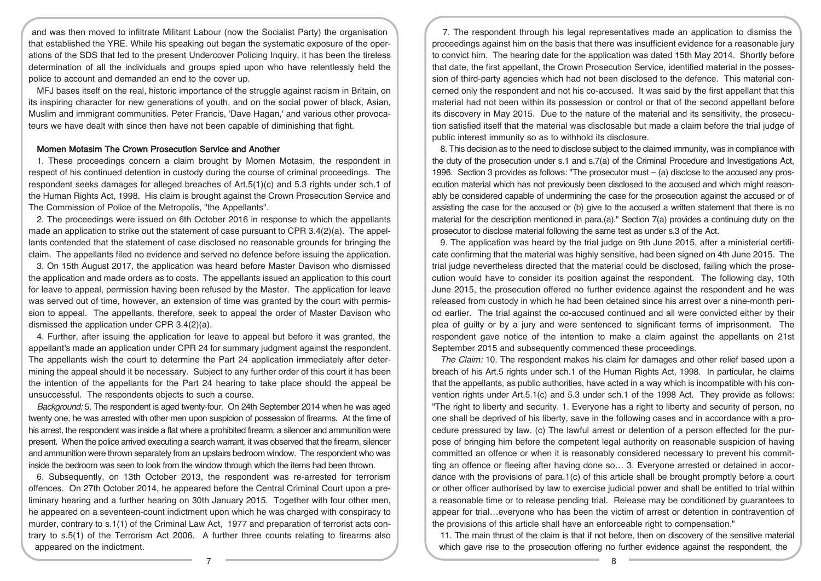and was then moved to infiltrate Militant Labour (now the Socialist Party) the organisation that established the YRE. While his speaking out began the systematic exposure of the operations of the SDS that led to the present Undercover Policing Inquiry, it has been the tireless determination of all the individuals and groups spied upon who have relentlessly held the police to account and demanded an end to the cover up.

MFJ bases itself on the real, historic importance of the struggle against racism in Britain, on its inspiring character for new generations of youth, and on the social power of black, Asian, Muslim and immigrant communities. Peter Francis, 'Dave Hagan,' and various other provocateurs we have dealt with since then have not been capable of diminishing that fight.

#### Momen Motasim The Crown Prosecution Service and Another

1. These proceedings concern a claim brought by Momen Motasim, the respondent in respect of his continued detention in custody during the course of criminal proceedings. The respondent seeks damages for alleged breaches of Art.5(1)(c) and 5.3 rights under sch.1 of the Human Rights Act, 1998. His claim is brought against the Crown Prosecution Service and The Commission of Police of the Metropolis, "the Appellants".

2. The proceedings were issued on 6th October 2016 in response to which the appellants made an application to strike out the statement of case pursuant to CPR 3.4(2)(a). The appellants contended that the statement of case disclosed no reasonable grounds for bringing the claim. The appellants filed no evidence and served no defence before issuing the application.

3. On 15th August 2017, the application was heard before Master Davison who dismissed the application and made orders as to costs. The appellants issued an application to this court for leave to appeal, permission having been refused by the Master. The application for leave was served out of time, however, an extension of time was granted by the court with permission to appeal. The appellants, therefore, seek to appeal the order of Master Davison who dismissed the application under CPR 3.4(2)(a).

4. Further, after issuing the application for leave to appeal but before it was granted, the appellant's made an application under CPR 24 for summary judgment against the respondent. The appellants wish the court to determine the Part 24 application immediately after determining the appeal should it be necessary. Subject to any further order of this court it has been the intention of the appellants for the Part 24 hearing to take place should the appeal be unsuccessful. The respondents objects to such a course.

Background: 5. The respondent is aged twenty-four. On 24th September 2014 when he was aged twenty one, he was arrested with other men upon suspicion of possession of firearms. At the time of his arrest, the respondent was inside a flat where a prohibited firearm, a silencer and ammunition were present. When the police arrived executing a search warrant, it was observed that the firearm, silencer and ammunition were thrown separately from an upstairs bedroom window. The respondent who was inside the bedroom was seen to look from the window through which the items had been thrown.

6. Subsequently, on 13th October 2013, the respondent was re-arrested for terrorism offences. On 27th October 2014, he appeared before the Central Criminal Court upon a preliminary hearing and a further hearing on 30th January 2015. Together with four other men, he appeared on a seventeen-count indictment upon which he was charged with conspiracy to murder, contrary to s.1(1) of the Criminal Law Act, 1977 and preparation of terrorist acts contrary to s.5(1) of the Terrorism Act 2006. A further three counts relating to firearms also appeared on the indictment.

7. The respondent through his legal representatives made an application to dismiss the proceedings against him on the basis that there was insufficient evidence for a reasonable jury to convict him. The hearing date for the application was dated 15th May 2014. Shortly before that date, the first appellant, the Crown Prosecution Service, identified material in the possession of third-party agencies which had not been disclosed to the defence. This material concerned only the respondent and not his co-accused. It was said by the first appellant that this material had not been within its possession or control or that of the second appellant before its discovery in May 2015. Due to the nature of the material and its sensitivity, the prosecution satisfied itself that the material was disclosable but made a claim before the trial judge of public interest immunity so as to withhold its disclosure.

8. This decision as to the need to disclose subject to the claimed immunity, was in compliance with the duty of the prosecution under s.1 and s.7(a) of the Criminal Procedure and Investigations Act, 1996. Section 3 provides as follows: "The prosecutor must – (a) disclose to the accused any prosecution material which has not previously been disclosed to the accused and which might reasonably be considered capable of undermining the case for the prosecution against the accused or of assisting the case for the accused or (b) give to the accused a written statement that there is no material for the description mentioned in para.(a)." Section 7(a) provides a continuing duty on the prosecutor to disclose material following the same test as under s.3 of the Act.

9. The application was heard by the trial judge on 9th June 2015, after a ministerial certificate confirming that the material was highly sensitive, had been signed on 4th June 2015. The trial judge nevertheless directed that the material could be disclosed, failing which the prosecution would have to consider its position against the respondent. The following day, 10th June 2015, the prosecution offered no further evidence against the respondent and he was released from custody in which he had been detained since his arrest over a nine-month period earlier. The trial against the co-accused continued and all were convicted either by their plea of guilty or by a jury and were sentenced to significant terms of imprisonment. The respondent gave notice of the intention to make a claim against the appellants on 21st September 2015 and subsequently commenced these proceedings.

The Claim: 10. The respondent makes his claim for damages and other relief based upon a breach of his Art.5 rights under sch.1 of the Human Rights Act, 1998. In particular, he claims that the appellants, as public authorities, have acted in a way which is incompatible with his convention rights under Art.5.1(c) and 5.3 under sch.1 of the 1998 Act. They provide as follows: "The right to liberty and security. 1. Everyone has a right to liberty and security of person, no one shall be deprived of his liberty, save in the following cases and in accordance with a procedure pressured by law. (c) The lawful arrest or detention of a person effected for the purpose of bringing him before the competent legal authority on reasonable suspicion of having committed an offence or when it is reasonably considered necessary to prevent his committing an offence or fleeing after having done so… 3. Everyone arrested or detained in accordance with the provisions of para.1(c) of this article shall be brought promptly before a court or other officer authorised by law to exercise judicial power and shall be entitled to trial within a reasonable time or to release pending trial. Release may be conditioned by guarantees to appear for trial…everyone who has been the victim of arrest or detention in contravention of the provisions of this article shall have an enforceable right to compensation."

11. The main thrust of the claim is that if not before, then on discovery of the sensitive material which gave rise to the prosecution offering no further evidence against the respondent, the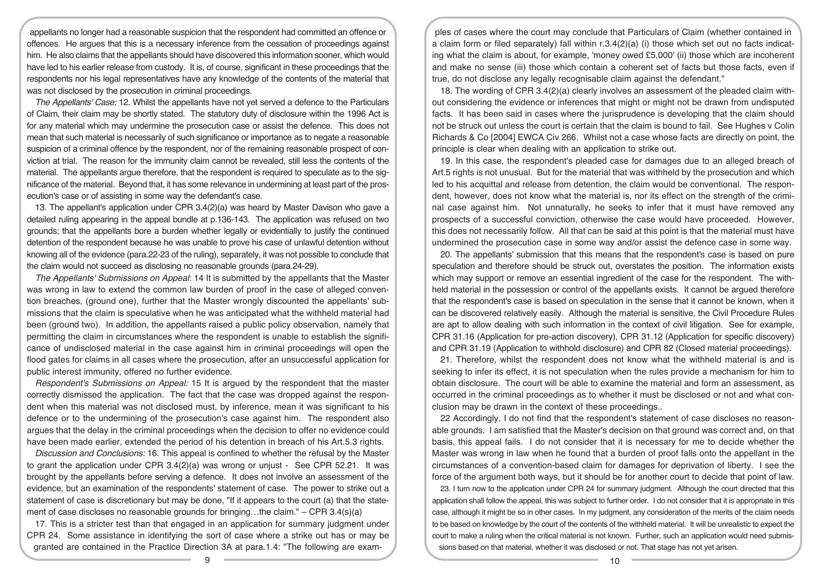appellants no longer had a reasonable suspicion that the respondent had committed an offence or offences. He argues that this is a necessary inference from the cessation of proceedings against him. He also claims that the appellants should have discovered this information sooner, which would have led to his earlier release from custody. It is, of course, significant in these proceedings that the respondents nor his legal representatives have any knowledge of the contents of the material that was not disclosed by the prosecution in criminal proceedings.

The Appellants' Case: 12. Whilst the appellants have not yet served a defence to the Particulars of Claim, their claim may be shortly stated. The statutory duty of disclosure within the 1996 Act is for any material which may undermine the prosecution case or assist the defence. This does not mean that such material is necessarily of such significance or importance as to negate a reasonable suspicion of a criminal offence by the respondent, nor of the remaining reasonable prospect of conviction at trial. The reason for the immunity claim cannot be revealed, still less the contents of the material. The appellants argue therefore, that the respondent is required to speculate as to the significance of the material. Beyond that, it has some relevance in undermining at least part of the prosecution's case or of assisting in some way the defendant's case.

13. The appellant's application under CPR 3.4(2)(a) was heard by Master Davison who gave a detailed ruling appearing in the appeal bundle at p.136-143. The application was refused on two grounds; that the appellants bore a burden whether legally or evidentially to justify the continued detention of the respondent because he was unable to prove his case of unlawful detention without knowing all of the evidence (para.22-23 of the ruling), separately, it was not possible to conclude that the claim would not succeed as disclosing no reasonable grounds (para.24-29).

The Appellants' Submissions on Appeal: 14 It is submitted by the appellants that the Master was wrong in law to extend the common law burden of proof in the case of alleged convention breaches, (ground one), further that the Master wrongly discounted the appellants' submissions that the claim is speculative when he was anticipated what the withheld material had been (ground two). In addition, the appellants raised a public policy observation, namely that permitting the claim in circumstances where the respondent is unable to establish the significance of undisclosed material in the case against him in criminal proceedings will open the flood gates for claims in all cases where the prosecution, after an unsuccessful application for public interest immunity, offered no further evidence.

Respondent's Submissions on Appeal: 15 It is argued by the respondent that the master correctly dismissed the application. The fact that the case was dropped against the respondent when this material was not disclosed must, by inference, mean it was significant to his defence or to the undermining of the prosecution's case against him. The respondent also argues that the delay in the criminal proceedings when the decision to offer no evidence could have been made earlier, extended the period of his detention in breach of his Art.5.3 rights.

Discussion and Conclusions: 16. This appeal is confined to whether the refusal by the Master to grant the application under CPR 3.4(2)(a) was wrong or unjust - See CPR 52.21. It was brought by the appellants before serving a defence. It does not involve an assessment of the evidence, but an examination of the respondents' statement of case. The power to strike out a statement of case is discretionary but may be done, "If it appears to the court (a) that the statement of case discloses no reasonable grounds for bringing...the claim." – CPR  $3.4(s)(a)$ 

17. This is a stricter test than that engaged in an application for summary judgment under CPR 24. Some assistance in identifying the sort of case where a strike out has or may be granted are contained in the Practice Direction 3A at para.1.4: "The following are exam-

ples of cases where the court may conclude that Particulars of Claim (whether contained in a claim form or filed separately) fall within r.3.4(2)(a) (i) those which set out no facts indicating what the claim is about, for example, 'money owed £5,000' (ii) those which are incoherent and make no sense (iii) those which contain a coherent set of facts but those facts, even if true, do not disclose any legally recognisable claim against the defendant."

18. The wording of CPR 3.4(2)(a) clearly involves an assessment of the pleaded claim without considering the evidence or inferences that might or might not be drawn from undisputed facts. It has been said in cases where the jurisprudence is developing that the claim should not be struck out unless the court is certain that the claim is bound to fail. See Hughes v Colin Richards & Co [2004] EWCA Civ 266. Whilst not a case whose facts are directly on point, the principle is clear when dealing with an application to strike out.

19. In this case, the respondent's pleaded case for damages due to an alleged breach of Art.5 rights is not unusual. But for the material that was withheld by the prosecution and which led to his acquittal and release from detention, the claim would be conventional. The respondent, however, does not know what the material is, nor its effect on the strength of the criminal case against him. Not unnaturally, he seeks to infer that it must have removed any prospects of a successful conviction, otherwise the case would have proceeded. However, this does not necessarily follow. All that can be said at this point is that the material must have undermined the prosecution case in some way and/or assist the defence case in some way.

20. The appellants' submission that this means that the respondent's case is based on pure speculation and therefore should be struck out, overstates the position. The information exists which may support or remove an essential ingredient of the case for the respondent. The withheld material in the possession or control of the appellants exists. It cannot be argued therefore that the respondent's case is based on speculation in the sense that it cannot be known, when it can be discovered relatively easily. Although the material is sensitive, the Civil Procedure Rules are apt to allow dealing with such information in the context of civil litigation. See for example, CPR 31.16 (Application for pre-action discovery), CPR 31.12 (Application for specific discovery) and CPR 31.19 (Application to withhold disclosure) and CPR 82 (Closed material proceedings).

21. Therefore, whilst the respondent does not know what the withheld material is and is seeking to infer its effect, it is not speculation when the rules provide a mechanism for him to obtain disclosure. The court will be able to examine the material and form an assessment, as occurred in the criminal proceedings as to whether it must be disclosed or not and what conclusion may be drawn in the context of these proceedings..

22 Accordingly, I do not find that the respondent's statement of case discloses no reasonable grounds. I am satisfied that the Master's decision on that ground was correct and, on that basis, this appeal fails. I do not consider that it is necessary for me to decide whether the Master was wrong in law when he found that a burden of proof falls onto the appellant in the circumstances of a convention-based claim for damages for deprivation of liberty. I see the force of the argument both ways, but it should be for another court to decide that point of law.

23. I turn now to the application under CPR 24 for summary judgment. Although the court directed that this application shall follow the appeal, this was subject to further order. I do not consider that it is appropriate in this case, although it might be so in other cases. In my judgment, any consideration of the merits of the claim needs to be based on knowledge by the court of the contents of the withheld material. It will be unrealistic to expect the court to make a ruling when the critical material is not known. Further, such an application would need submissions based on that material, whether it was disclosed or not. That stage has not yet arisen.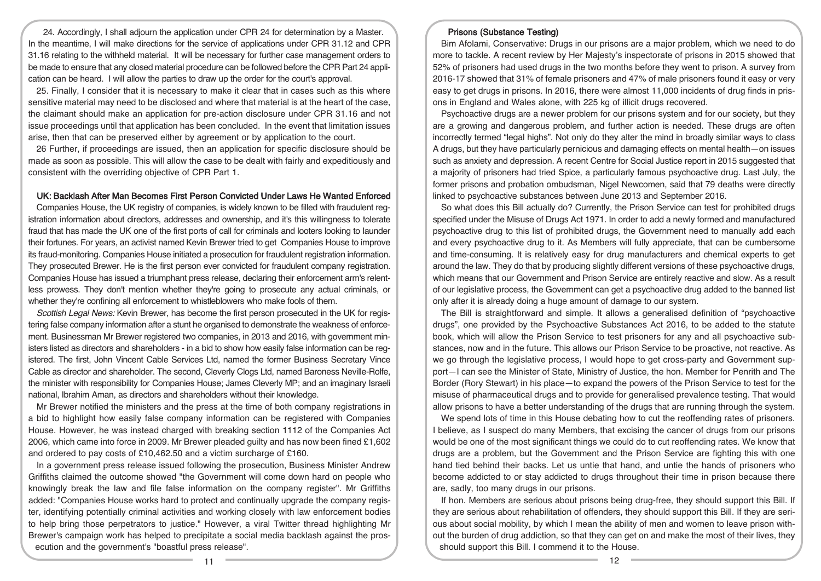24. Accordingly, I shall adjourn the application under CPR 24 for determination by a Master. In the meantime, I will make directions for the service of applications under CPR 31.12 and CPR 31.16 relating to the withheld material. It will be necessary for further case management orders to be made to ensure that any closed material procedure can be followed before the CPR Part 24 application can be heard. I will allow the parties to draw up the order for the court's approval.

25. Finally, I consider that it is necessary to make it clear that in cases such as this where sensitive material may need to be disclosed and where that material is at the heart of the case, the claimant should make an application for pre-action disclosure under CPR 31.16 and not issue proceedings until that application has been concluded. In the event that limitation issues arise, then that can be preserved either by agreement or by application to the court.

26 Further, if proceedings are issued, then an application for specific disclosure should be made as soon as possible. This will allow the case to be dealt with fairly and expeditiously and consistent with the overriding objective of CPR Part 1.

### UK: Backlash After Man Becomes First Person Convicted Under Laws He Wanted Enforced

Companies House, the UK registry of companies, is widely known to be filled with fraudulent registration information about directors, addresses and ownership, and it's this willingness to tolerate fraud that has made the UK one of the first ports of call for criminals and looters looking to launder their fortunes. For years, an activist named Kevin Brewer tried to get Companies House to improve its fraud-monitoring. Companies House initiated a prosecution for fraudulent registration information. They prosecuted Brewer. He is the first person ever convicted for fraudulent company registration. Companies House has issued a triumphant press release, declaring their enforcement arm's relentless prowess. They don't mention whether they're going to prosecute any actual criminals, or whether they're confining all enforcement to whistleblowers who make fools of them.

Scottish Legal News: Kevin Brewer, has become the first person prosecuted in the UK for registering false company information after a stunt he organised to demonstrate the weakness of enforcement. Businessman Mr Brewer registered two companies, in 2013 and 2016, with government ministers listed as directors and shareholders - in a bid to show how easily false information can be registered. The first, John Vincent Cable Services Ltd, named the former Business Secretary Vince Cable as director and shareholder. The second, Cleverly Clogs Ltd, named Baroness Neville-Rolfe, the minister with responsibility for Companies House; James Cleverly MP; and an imaginary Israeli national, Ibrahim Aman, as directors and shareholders without their knowledge.

Mr Brewer notified the ministers and the press at the time of both company registrations in a bid to highlight how easily false company information can be registered with Companies House. However, he was instead charged with breaking section 1112 of the Companies Act 2006, which came into force in 2009. Mr Brewer pleaded guilty and has now been fined £1,602 and ordered to pay costs of £10,462.50 and a victim surcharge of £160.

In a government press release issued following the prosecution, Business Minister Andrew Griffiths claimed the outcome showed "the Government will come down hard on people who knowingly break the law and file false information on the company register". Mr Griffiths added: "Companies House works hard to protect and continually upgrade the company register, identifying potentially criminal activities and working closely with law enforcement bodies to help bring those perpetrators to justice." However, a viral Twitter thread highlighting Mr Brewer's campaign work has helped to precipitate a social media backlash against the prosecution and the government's "boastful press release".

# Prisons (Substance Testing)

Bim Afolami, Conservative: Drugs in our prisons are a major problem, which we need to do more to tackle. A recent review by Her Majesty's inspectorate of prisons in 2015 showed that 52% of prisoners had used drugs in the two months before they went to prison. A survey from 2016-17 showed that 31% of female prisoners and 47% of male prisoners found it easy or very easy to get drugs in prisons. In 2016, there were almost 11,000 incidents of drug finds in prisons in England and Wales alone, with 225 kg of illicit drugs recovered.

Psychoactive drugs are a newer problem for our prisons system and for our society, but they are a growing and dangerous problem, and further action is needed. These drugs are often incorrectly termed "legal highs". Not only do they alter the mind in broadly similar ways to class A drugs, but they have particularly pernicious and damaging effects on mental health—on issues such as anxiety and depression. A recent Centre for Social Justice report in 2015 suggested that a majority of prisoners had tried Spice, a particularly famous psychoactive drug. Last July, the former prisons and probation ombudsman, Nigel Newcomen, said that 79 deaths were directly linked to psychoactive substances between June 2013 and September 2016.

So what does this Bill actually do? Currently, the Prison Service can test for prohibited drugs specified under the Misuse of Drugs Act 1971. In order to add a newly formed and manufactured psychoactive drug to this list of prohibited drugs, the Government need to manually add each and every psychoactive drug to it. As Members will fully appreciate, that can be cumbersome and time-consuming. It is relatively easy for drug manufacturers and chemical experts to get around the law. They do that by producing slightly different versions of these psychoactive drugs, which means that our Government and Prison Service are entirely reactive and slow. As a result of our legislative process, the Government can get a psychoactive drug added to the banned list only after it is already doing a huge amount of damage to our system.

The Bill is straightforward and simple. It allows a generalised definition of "psychoactive drugs", one provided by the Psychoactive Substances Act 2016, to be added to the statute book, which will allow the Prison Service to test prisoners for any and all psychoactive substances, now and in the future. This allows our Prison Service to be proactive, not reactive. As we go through the legislative process, I would hope to get cross-party and Government support—I can see the Minister of State, Ministry of Justice, the hon. Member for Penrith and The Border (Rory Stewart) in his place—to expand the powers of the Prison Service to test for the misuse of pharmaceutical drugs and to provide for generalised prevalence testing. That would allow prisons to have a better understanding of the drugs that are running through the system.

We spend lots of time in this House debating how to cut the reoffending rates of prisoners. I believe, as I suspect do many Members, that excising the cancer of drugs from our prisons would be one of the most significant things we could do to cut reoffending rates. We know that drugs are a problem, but the Government and the Prison Service are fighting this with one hand tied behind their backs. Let us untie that hand, and untie the hands of prisoners who become addicted to or stay addicted to drugs throughout their time in prison because there are, sadly, too many drugs in our prisons.

If hon. Members are serious about prisons being drug-free, they should support this Bill. If they are serious about rehabilitation of offenders, they should support this Bill. If they are serious about social mobility, by which I mean the ability of men and women to leave prison without the burden of drug addiction, so that they can get on and make the most of their lives, they should support this Bill. I commend it to the House.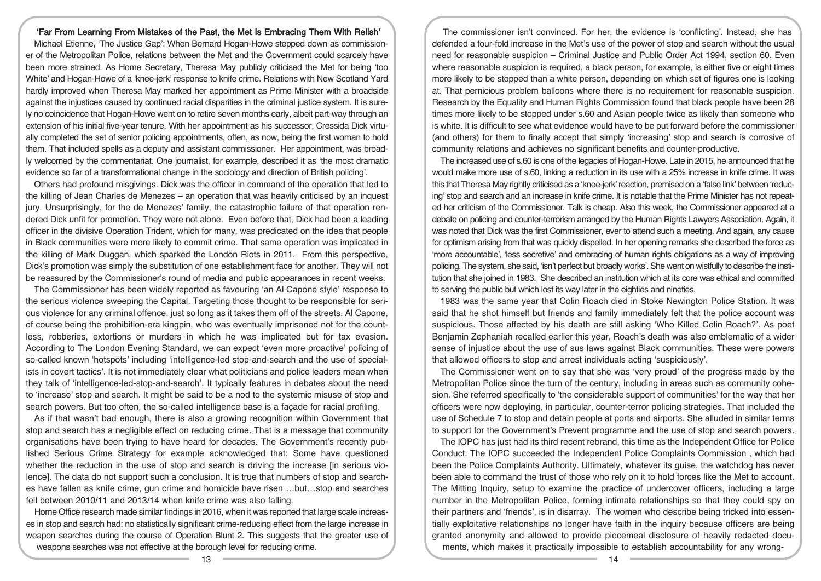## 'Far From Learning From Mistakes of the Past, the Met Is Embracing Them With Relish'

Michael Etienne, 'The Justice Gap': When Bernard Hogan-Howe stepped down as commissioner of the Metropolitan Police, relations between the Met and the Government could scarcely have been more strained. As Home Secretary, Theresa May publicly criticised the Met for being 'too White' and Hogan-Howe of a 'knee-jerk' response to knife crime. Relations with New Scotland Yard hardly improved when Theresa May marked her appointment as Prime Minister with a broadside against the injustices caused by continued racial disparities in the criminal justice system. It is surely no coincidence that Hogan-Howe went on to retire seven months early, albeit part-way through an extension of his initial five-year tenure. With her appointment as his successor, Cressida Dick virtually completed the set of senior policing appointments, often, as now, being the first woman to hold them. That included spells as a deputy and assistant commissioner. Her appointment, was broadly welcomed by the commentariat. One journalist, for example, described it as 'the most dramatic evidence so far of a transformational change in the sociology and direction of British policing'.

Others had profound misgivings. Dick was the officer in command of the operation that led to the killing of Jean Charles de Menezes – an operation that was heavily criticised by an inquest jury. Unsurprisingly, for the de Menezes' family, the catastrophic failure of that operation rendered Dick unfit for promotion. They were not alone. Even before that, Dick had been a leading officer in the divisive Operation Trident, which for many, was predicated on the idea that people in Black communities were more likely to commit crime. That same operation was implicated in the killing of Mark Duggan, which sparked the London Riots in 2011. From this perspective, Dick's promotion was simply the substitution of one establishment face for another. They will not be reassured by the Commissioner's round of media and public appearances in recent weeks.

The Commissioner has been widely reported as favouring 'an Al Capone style' response to the serious violence sweeping the Capital. Targeting those thought to be responsible for serious violence for any criminal offence, just so long as it takes them off of the streets. Al Capone, of course being the prohibition-era kingpin, who was eventually imprisoned not for the countless, robberies, extortions or murders in which he was implicated but for tax evasion. According to The London Evening Standard, we can expect 'even more proactive' policing of so-called known 'hotspots' including 'intelligence-led stop-and-search and the use of specialists in covert tactics'. It is not immediately clear what politicians and police leaders mean when they talk of 'intelligence-led-stop-and-search'. It typically features in debates about the need to 'increase' stop and search. It might be said to be a nod to the systemic misuse of stop and search powers. But too often, the so-called intelligence base is a façade for racial profiling.

As if that wasn't bad enough, there is also a growing recognition within Government that stop and search has a negligible effect on reducing crime. That is a message that community organisations have been trying to have heard for decades. The Government's recently published Serious Crime Strategy for example acknowledged that: Some have questioned whether the reduction in the use of stop and search is driving the increase [in serious violence]. The data do not support such a conclusion. It is true that numbers of stop and searches have fallen as knife crime, gun crime and homicide have risen …but…stop and searches fell between 2010/11 and 2013/14 when knife crime was also falling.

Home Office research made similar findings in 2016, when it was reported that large scale increases in stop and search had: no statistically significant crime-reducing effect from the large increase in weapon searches during the course of Operation Blunt 2. This suggests that the greater use of weapons searches was not effective at the borough level for reducing crime.

The commissioner isn't convinced. For her, the evidence is 'conflicting'. Instead, she has defended a four-fold increase in the Met's use of the power of stop and search without the usual need for reasonable suspicion – Criminal Justice and Public Order Act 1994, section 60. Even where reasonable suspicion is required, a black person, for example, is either five or eight times more likely to be stopped than a white person, depending on which set of figures one is looking at. That pernicious problem balloons where there is no requirement for reasonable suspicion. Research by the Equality and Human Rights Commission found that black people have been 28 times more likely to be stopped under s.60 and Asian people twice as likely than someone who is white. It is difficult to see what evidence would have to be put forward before the commissioner (and others) for them to finally accept that simply 'increasing' stop and search is corrosive of community relations and achieves no significant benefits and counter-productive.

The increased use of s.60 is one of the legacies of Hogan-Howe. Late in 2015, he announced that he would make more use of s.60, linking a reduction in its use with a 25% increase in knife crime. It was this that Theresa May rightly criticised as a 'knee-jerk' reaction, premised on a 'false link' between 'reducing' stop and search and an increase in knife crime. It is notable that the Prime Minister has not repeated her criticism of the Commissioner. Talk is cheap. Also this week, the Commissioner appeared at a debate on policing and counter-terrorism arranged by the Human Rights Lawyers Association. Again, it was noted that Dick was the first Commissioner, ever to attend such a meeting. And again, any cause for optimism arising from that was quickly dispelled. In her opening remarks she described the force as 'more accountable', 'less secretive' and embracing of human rights obligations as a way of improving policing. The system, she said, 'isn't perfect but broadly works'. She went on wistfully to describe the institution that she joined in 1983. She described an institution which at its core was ethical and committed to serving the public but which lost its way later in the eighties and nineties.

1983 was the same year that Colin Roach died in Stoke Newington Police Station. It was said that he shot himself but friends and family immediately felt that the police account was suspicious. Those affected by his death are still asking 'Who Killed Colin Roach?'. As poet Benjamin Zephaniah recalled earlier this year, Roach's death was also emblematic of a wider sense of injustice about the use of sus laws against Black communities. These were powers that allowed officers to stop and arrest individuals acting 'suspiciously'.

The Commissioner went on to say that she was 'very proud' of the progress made by the Metropolitan Police since the turn of the century, including in areas such as community cohesion. She referred specifically to 'the considerable support of communities' for the way that her officers were now deploying, in particular, counter-terror policing strategies. That included the use of Schedule 7 to stop and detain people at ports and airports. She alluded in similar terms to support for the Government's Prevent programme and the use of stop and search powers.

The IOPC has just had its third recent rebrand, this time as the Independent Office for Police Conduct. The IOPC succeeded the Independent Police Complaints Commission , which had been the Police Complaints Authority. Ultimately, whatever its guise, the watchdog has never been able to command the trust of those who rely on it to hold forces like the Met to account. The Mitting Inquiry, setup to examine the practice of undercover officers, including a large number in the Metropolitan Police, forming intimate relationships so that they could spy on their partners and 'friends', is in disarray. The women who describe being tricked into essentially exploitative relationships no longer have faith in the inquiry because officers are being granted anonymity and allowed to provide piecemeal disclosure of heavily redacted documents, which makes it practically impossible to establish accountability for any wrong-